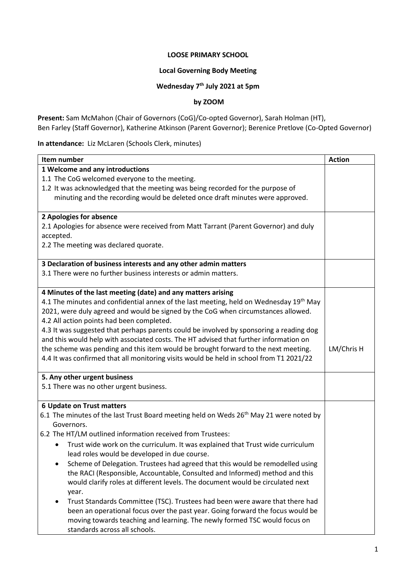#### **LOOSE PRIMARY SCHOOL**

### **Local Governing Body Meeting**

#### **Wednesday 7 th July 2021 at 5pm**

### **by ZOOM**

**Present:** Sam McMahon (Chair of Governors (CoG)/Co-opted Governor), Sarah Holman (HT), Ben Farley (Staff Governor), Katherine Atkinson (Parent Governor); Berenice Pretlove (Co-Opted Governor)

**In attendance:** Liz McLaren (Schools Clerk, minutes)

| Item number                                                                                        | <b>Action</b> |  |  |
|----------------------------------------------------------------------------------------------------|---------------|--|--|
| 1 Welcome and any introductions                                                                    |               |  |  |
| 1.1 The CoG welcomed everyone to the meeting.                                                      |               |  |  |
| 1.2 It was acknowledged that the meeting was being recorded for the purpose of                     |               |  |  |
| minuting and the recording would be deleted once draft minutes were approved.                      |               |  |  |
|                                                                                                    |               |  |  |
| 2 Apologies for absence                                                                            |               |  |  |
| 2.1 Apologies for absence were received from Matt Tarrant (Parent Governor) and duly               |               |  |  |
| accepted.                                                                                          |               |  |  |
| 2.2 The meeting was declared quorate.                                                              |               |  |  |
|                                                                                                    |               |  |  |
| 3 Declaration of business interests and any other admin matters                                    |               |  |  |
| 3.1 There were no further business interests or admin matters.                                     |               |  |  |
|                                                                                                    |               |  |  |
| 4 Minutes of the last meeting (date) and any matters arising                                       |               |  |  |
| 4.1 The minutes and confidential annex of the last meeting, held on Wednesday 19 <sup>th</sup> May |               |  |  |
| 2021, were duly agreed and would be signed by the CoG when circumstances allowed.                  |               |  |  |
| 4.2 All action points had been completed.                                                          |               |  |  |
| 4.3 It was suggested that perhaps parents could be involved by sponsoring a reading dog            |               |  |  |
| and this would help with associated costs. The HT advised that further information on              |               |  |  |
| the scheme was pending and this item would be brought forward to the next meeting.                 | LM/Chris H    |  |  |
| 4.4 It was confirmed that all monitoring visits would be held in school from T1 2021/22            |               |  |  |
|                                                                                                    |               |  |  |
| 5. Any other urgent business                                                                       |               |  |  |
| 5.1 There was no other urgent business.                                                            |               |  |  |
|                                                                                                    |               |  |  |
| <b>6 Update on Trust matters</b>                                                                   |               |  |  |
| 6.1 The minutes of the last Trust Board meeting held on Weds 26 <sup>th</sup> May 21 were noted by |               |  |  |
| Governors.                                                                                         |               |  |  |
| 6.2 The HT/LM outlined information received from Trustees:                                         |               |  |  |
| Trust wide work on the curriculum. It was explained that Trust wide curriculum                     |               |  |  |
| lead roles would be developed in due course.                                                       |               |  |  |
| Scheme of Delegation. Trustees had agreed that this would be remodelled using<br>٠                 |               |  |  |
| the RACI (Responsible, Accountable, Consulted and Informed) method and this                        |               |  |  |
| would clarify roles at different levels. The document would be circulated next                     |               |  |  |
| year.                                                                                              |               |  |  |
| Trust Standards Committee (TSC). Trustees had been were aware that there had                       |               |  |  |
| been an operational focus over the past year. Going forward the focus would be                     |               |  |  |
| moving towards teaching and learning. The newly formed TSC would focus on                          |               |  |  |
| standards across all schools.                                                                      |               |  |  |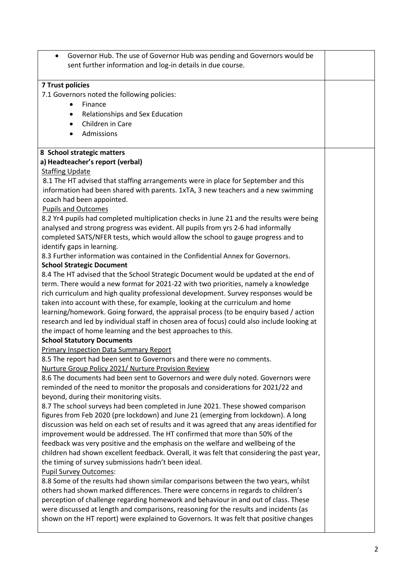| Governor Hub. The use of Governor Hub was pending and Governors would be<br>$\bullet$<br>sent further information and log-in details in due course. |  |
|-----------------------------------------------------------------------------------------------------------------------------------------------------|--|
| 7 Trust policies                                                                                                                                    |  |
| 7.1 Governors noted the following policies:                                                                                                         |  |
| Finance<br>$\bullet$                                                                                                                                |  |
| Relationships and Sex Education<br>٠                                                                                                                |  |
| Children in Care<br>$\bullet$                                                                                                                       |  |
| Admissions<br>$\bullet$                                                                                                                             |  |
|                                                                                                                                                     |  |
| 8 School strategic matters                                                                                                                          |  |
| a) Headteacher's report (verbal)                                                                                                                    |  |
| <b>Staffing Update</b>                                                                                                                              |  |
| 8.1 The HT advised that staffing arrangements were in place for September and this                                                                  |  |
| information had been shared with parents. 1xTA, 3 new teachers and a new swimming                                                                   |  |
| coach had been appointed.                                                                                                                           |  |
| <b>Pupils and Outcomes</b>                                                                                                                          |  |
| 8.2 Yr4 pupils had completed multiplication checks in June 21 and the results were being                                                            |  |
| analysed and strong progress was evident. All pupils from yrs 2-6 had informally                                                                    |  |
| completed SATS/NFER tests, which would allow the school to gauge progress and to                                                                    |  |
| identify gaps in learning.<br>8.3 Further information was contained in the Confidential Annex for Governors.                                        |  |
| <b>School Strategic Document</b>                                                                                                                    |  |
| 8.4 The HT advised that the School Strategic Document would be updated at the end of                                                                |  |
| term. There would a new format for 2021-22 with two priorities, namely a knowledge                                                                  |  |
| rich curriculum and high quality professional development. Survey responses would be                                                                |  |
| taken into account with these, for example, looking at the curriculum and home                                                                      |  |
| learning/homework. Going forward, the appraisal process (to be enquiry based / action                                                               |  |
| research and led by individual staff in chosen area of focus) could also include looking at                                                         |  |
| the impact of home learning and the best approaches to this.                                                                                        |  |
| <b>School Statutory Documents</b>                                                                                                                   |  |
| <b>Primary Inspection Data Summary Report</b>                                                                                                       |  |
| 8.5 The report had been sent to Governors and there were no comments.                                                                               |  |
| Nurture Group Policy 2021/ Nurture Provision Review                                                                                                 |  |
| 8.6 The documents had been sent to Governors and were duly noted. Governors were                                                                    |  |
| reminded of the need to monitor the proposals and considerations for 2021/22 and                                                                    |  |
| beyond, during their monitoring visits.                                                                                                             |  |
| 8.7 The school surveys had been completed in June 2021. These showed comparison                                                                     |  |
| figures from Feb 2020 (pre lockdown) and June 21 (emerging from lockdown). A long                                                                   |  |
| discussion was held on each set of results and it was agreed that any areas identified for                                                          |  |
| improvement would be addressed. The HT confirmed that more than 50% of the                                                                          |  |
| feedback was very positive and the emphasis on the welfare and wellbeing of the                                                                     |  |
| children had shown excellent feedback. Overall, it was felt that considering the past year,                                                         |  |
| the timing of survey submissions hadn't been ideal.                                                                                                 |  |
| Pupil Survey Outcomes:                                                                                                                              |  |
| 8.8 Some of the results had shown similar comparisons between the two years, whilst                                                                 |  |
| others had shown marked differences. There were concerns in regards to children's                                                                   |  |
| perception of challenge regarding homework and behaviour in and out of class. These                                                                 |  |
| were discussed at length and comparisons, reasoning for the results and incidents (as                                                               |  |
| shown on the HT report) were explained to Governors. It was felt that positive changes                                                              |  |
|                                                                                                                                                     |  |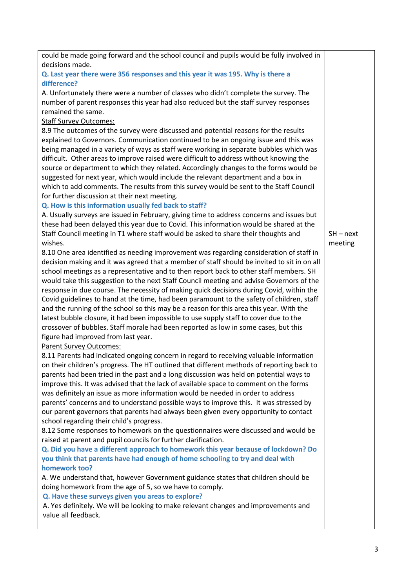| could be made going forward and the school council and pupils would be fully involved in    |             |  |  |  |
|---------------------------------------------------------------------------------------------|-------------|--|--|--|
| decisions made.                                                                             |             |  |  |  |
| Q. Last year there were 356 responses and this year it was 195. Why is there a              |             |  |  |  |
| difference?                                                                                 |             |  |  |  |
| A. Unfortunately there were a number of classes who didn't complete the survey. The         |             |  |  |  |
| number of parent responses this year had also reduced but the staff survey responses        |             |  |  |  |
| remained the same.                                                                          |             |  |  |  |
| <b>Staff Survey Outcomes:</b>                                                               |             |  |  |  |
| 8.9 The outcomes of the survey were discussed and potential reasons for the results         |             |  |  |  |
| explained to Governors. Communication continued to be an ongoing issue and this was         |             |  |  |  |
| being managed in a variety of ways as staff were working in separate bubbles which was      |             |  |  |  |
| difficult. Other areas to improve raised were difficult to address without knowing the      |             |  |  |  |
| source or department to which they related. Accordingly changes to the forms would be       |             |  |  |  |
| suggested for next year, which would include the relevant department and a box in           |             |  |  |  |
| which to add comments. The results from this survey would be sent to the Staff Council      |             |  |  |  |
| for further discussion at their next meeting.                                               |             |  |  |  |
|                                                                                             |             |  |  |  |
| Q. How is this information usually fed back to staff?                                       |             |  |  |  |
| A. Usually surveys are issued in February, giving time to address concerns and issues but   |             |  |  |  |
| these had been delayed this year due to Covid. This information would be shared at the      |             |  |  |  |
| Staff Council meeting in T1 where staff would be asked to share their thoughts and          | $SH - next$ |  |  |  |
| wishes.                                                                                     | meeting     |  |  |  |
| 8.10 One area identified as needing improvement was regarding consideration of staff in     |             |  |  |  |
| decision making and it was agreed that a member of staff should be invited to sit in on all |             |  |  |  |
| school meetings as a representative and to then report back to other staff members. SH      |             |  |  |  |
| would take this suggestion to the next Staff Council meeting and advise Governors of the    |             |  |  |  |
| response in due course. The necessity of making quick decisions during Covid, within the    |             |  |  |  |
| Covid guidelines to hand at the time, had been paramount to the safety of children, staff   |             |  |  |  |
| and the running of the school so this may be a reason for this area this year. With the     |             |  |  |  |
| latest bubble closure, it had been impossible to use supply staff to cover due to the       |             |  |  |  |
| crossover of bubbles. Staff morale had been reported as low in some cases, but this         |             |  |  |  |
| figure had improved from last year.                                                         |             |  |  |  |
| <b>Parent Survey Outcomes:</b>                                                              |             |  |  |  |
| 8.11 Parents had indicated ongoing concern in regard to receiving valuable information      |             |  |  |  |
| on their children's progress. The HT outlined that different methods of reporting back to   |             |  |  |  |
| parents had been tried in the past and a long discussion was held on potential ways to      |             |  |  |  |
| improve this. It was advised that the lack of available space to comment on the forms       |             |  |  |  |
| was definitely an issue as more information would be needed in order to address             |             |  |  |  |
| parents' concerns and to understand possible ways to improve this. It was stressed by       |             |  |  |  |
| our parent governors that parents had always been given every opportunity to contact        |             |  |  |  |
| school regarding their child's progress.                                                    |             |  |  |  |
| 8.12 Some responses to homework on the questionnaires were discussed and would be           |             |  |  |  |
| raised at parent and pupil councils for further clarification.                              |             |  |  |  |
| Q. Did you have a different approach to homework this year because of lockdown? Do          |             |  |  |  |
| you think that parents have had enough of home schooling to try and deal with               |             |  |  |  |
| homework too?                                                                               |             |  |  |  |
| A. We understand that, however Government guidance states that children should be           |             |  |  |  |
| doing homework from the age of 5, so we have to comply.                                     |             |  |  |  |
| Q. Have these surveys given you areas to explore?                                           |             |  |  |  |
| A. Yes definitely. We will be looking to make relevant changes and improvements and         |             |  |  |  |
| value all feedback.                                                                         |             |  |  |  |
|                                                                                             |             |  |  |  |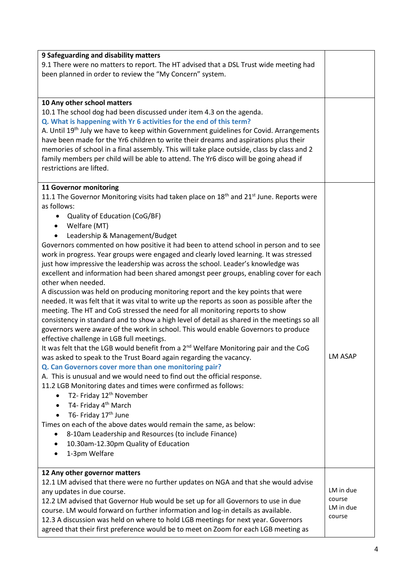| 9 Safeguarding and disability matters<br>9.1 There were no matters to report. The HT advised that a DSL Trust wide meeting had<br>been planned in order to review the "My Concern" system.                                                                                                                                                                                                                                                                                                                                                                                                                                                                                                                                                                                                                                                                                                                                                                                                                                                                                                                                                                                                                                                                                                                                                                                                                                                                                                                                                                                                                                                                                                                                                                                                                                                                                                           |                                            |
|------------------------------------------------------------------------------------------------------------------------------------------------------------------------------------------------------------------------------------------------------------------------------------------------------------------------------------------------------------------------------------------------------------------------------------------------------------------------------------------------------------------------------------------------------------------------------------------------------------------------------------------------------------------------------------------------------------------------------------------------------------------------------------------------------------------------------------------------------------------------------------------------------------------------------------------------------------------------------------------------------------------------------------------------------------------------------------------------------------------------------------------------------------------------------------------------------------------------------------------------------------------------------------------------------------------------------------------------------------------------------------------------------------------------------------------------------------------------------------------------------------------------------------------------------------------------------------------------------------------------------------------------------------------------------------------------------------------------------------------------------------------------------------------------------------------------------------------------------------------------------------------------------|--------------------------------------------|
| 10 Any other school matters<br>10.1 The school dog had been discussed under item 4.3 on the agenda.<br>Q. What is happening with Yr 6 activities for the end of this term?<br>A. Until 19 <sup>th</sup> July we have to keep within Government guidelines for Covid. Arrangements<br>have been made for the Yr6 children to write their dreams and aspirations plus their<br>memories of school in a final assembly. This will take place outside, class by class and 2<br>family members per child will be able to attend. The Yr6 disco will be going ahead if<br>restrictions are lifted.                                                                                                                                                                                                                                                                                                                                                                                                                                                                                                                                                                                                                                                                                                                                                                                                                                                                                                                                                                                                                                                                                                                                                                                                                                                                                                         |                                            |
| 11 Governor monitoring<br>11.1 The Governor Monitoring visits had taken place on 18 <sup>th</sup> and 21 <sup>st</sup> June. Reports were<br>as follows:<br>• Quality of Education (CoG/BF)<br>• Welfare (MT)<br>Leadership & Management/Budget<br>$\bullet$<br>Governors commented on how positive it had been to attend school in person and to see<br>work in progress. Year groups were engaged and clearly loved learning. It was stressed<br>just how impressive the leadership was across the school. Leader's knowledge was<br>excellent and information had been shared amongst peer groups, enabling cover for each<br>other when needed.<br>A discussion was held on producing monitoring report and the key points that were<br>needed. It was felt that it was vital to write up the reports as soon as possible after the<br>meeting. The HT and CoG stressed the need for all monitoring reports to show<br>consistency in standard and to show a high level of detail as shared in the meetings so all<br>governors were aware of the work in school. This would enable Governors to produce<br>effective challenge in LGB full meetings.<br>It was felt that the LGB would benefit from a 2 <sup>nd</sup> Welfare Monitoring pair and the CoG<br>was asked to speak to the Trust Board again regarding the vacancy.<br>Q. Can Governors cover more than one monitoring pair?<br>A. This is unusual and we would need to find out the official response.<br>11.2 LGB Monitoring dates and times were confirmed as follows:<br>T2- Friday 12 <sup>th</sup> November<br>$\bullet$<br>T4- Friday 4 <sup>th</sup> March<br>$\bullet$<br>T6- Friday 17 <sup>th</sup> June<br>$\bullet$<br>Times on each of the above dates would remain the same, as below:<br>8-10am Leadership and Resources (to include Finance)<br>10.30am-12.30pm Quality of Education<br>1-3pm Welfare<br>$\bullet$ | <b>LM ASAP</b>                             |
| 12 Any other governor matters<br>12.1 LM advised that there were no further updates on NGA and that she would advise<br>any updates in due course.<br>12.2 LM advised that Governor Hub would be set up for all Governors to use in due<br>course. LM would forward on further information and log-in details as available.<br>12.3 A discussion was held on where to hold LGB meetings for next year. Governors<br>agreed that their first preference would be to meet on Zoom for each LGB meeting as                                                                                                                                                                                                                                                                                                                                                                                                                                                                                                                                                                                                                                                                                                                                                                                                                                                                                                                                                                                                                                                                                                                                                                                                                                                                                                                                                                                              | LM in due<br>course<br>LM in due<br>course |